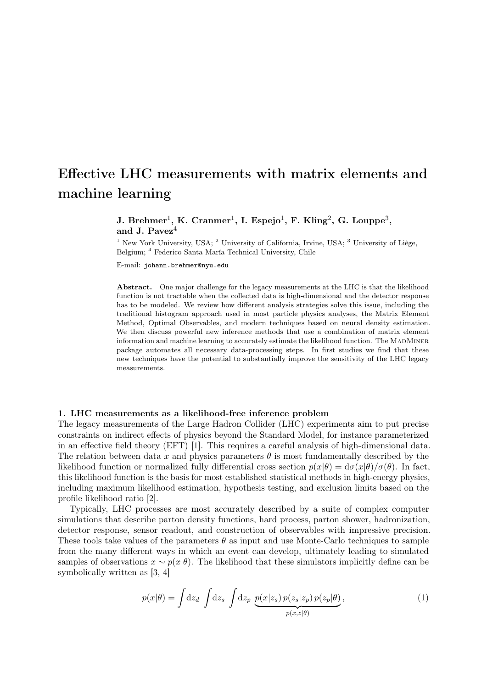# Effective LHC measurements with matrix elements and machine learning

# J. Brehmer<sup>1</sup>, K. Cranmer<sup>1</sup>, I. Espejo<sup>1</sup>, F. Kling<sup>2</sup>, G. Louppe<sup>3</sup>, and J. Pavez $4$

<sup>1</sup> New York University, USA; <sup>2</sup> University of California, Irvine, USA; <sup>3</sup> University of Liège, Belgium; <sup>4</sup> Federico Santa María Technical University, Chile

E-mail: johann.brehmer@nyu.edu

Abstract. One major challenge for the legacy measurements at the LHC is that the likelihood function is not tractable when the collected data is high-dimensional and the detector response has to be modeled. We review how different analysis strategies solve this issue, including the traditional histogram approach used in most particle physics analyses, the Matrix Element Method, Optimal Observables, and modern techniques based on neural density estimation. We then discuss powerful new inference methods that use a combination of matrix element information and machine learning to accurately estimate the likelihood function. The MADMINER package automates all necessary data-processing steps. In first studies we find that these new techniques have the potential to substantially improve the sensitivity of the LHC legacy measurements.

# 1. LHC measurements as a likelihood-free inference problem

The legacy measurements of the Large Hadron Collider (LHC) experiments aim to put precise constraints on indirect effects of physics beyond the Standard Model, for instance parameterized in an effective field theory (EFT) [\[1\]](#page-7-0). This requires a careful analysis of high-dimensional data. The relation between data x and physics parameters  $\theta$  is most fundamentally described by the likelihood function or normalized fully differential cross section  $p(x|\theta) = d\sigma(x|\theta)/\sigma(\theta)$ . In fact, this likelihood function is the basis for most established statistical methods in high-energy physics, including maximum likelihood estimation, hypothesis testing, and exclusion limits based on the profile likelihood ratio [\[2\]](#page-7-1).

Typically, LHC processes are most accurately described by a suite of complex computer simulations that describe parton density functions, hard process, parton shower, hadronization, detector response, sensor readout, and construction of observables with impressive precision. These tools take values of the parameters  $\theta$  as input and use Monte-Carlo techniques to sample from the many different ways in which an event can develop, ultimately leading to simulated samples of observations  $x \sim p(x|\theta)$ . The likelihood that these simulators implicitly define can be symbolically written as [\[3,](#page-7-2) [4\]](#page-7-3)

<span id="page-0-0"></span>
$$
p(x|\theta) = \int dz_d \int dz_s \int dz_p \underbrace{p(x|z_s) p(z_s|z_p) p(z_p|\theta)}_{p(x,z|\theta)}, \qquad (1)
$$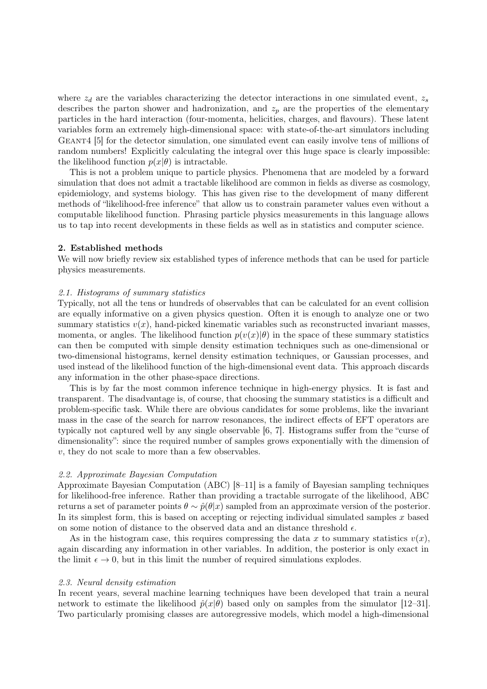where  $z_d$  are the variables characterizing the detector interactions in one simulated event,  $z_s$ describes the parton shower and hadronization, and  $z_p$  are the properties of the elementary particles in the hard interaction (four-momenta, helicities, charges, and flavours). These latent variables form an extremely high-dimensional space: with state-of-the-art simulators including GEANT4 [\[5\]](#page-7-4) for the detector simulation, one simulated event can easily involve tens of millions of random numbers! Explicitly calculating the integral over this huge space is clearly impossible: the likelihood function  $p(x|\theta)$  is intractable.

This is not a problem unique to particle physics. Phenomena that are modeled by a forward simulation that does not admit a tractable likelihood are common in fields as diverse as cosmology, epidemiology, and systems biology. This has given rise to the development of many different methods of "likelihood-free inference" that allow us to constrain parameter values even without a computable likelihood function. Phrasing particle physics measurements in this language allows us to tap into recent developments in these fields as well as in statistics and computer science.

# 2. Established methods

We will now briefly review six established types of inference methods that can be used for particle physics measurements.

#### 2.1. Histograms of summary statistics

Typically, not all the tens or hundreds of observables that can be calculated for an event collision are equally informative on a given physics question. Often it is enough to analyze one or two summary statistics  $v(x)$ , hand-picked kinematic variables such as reconstructed invariant masses, momenta, or angles. The likelihood function  $p(v(x)|\theta)$  in the space of these summary statistics can then be computed with simple density estimation techniques such as one-dimensional or two-dimensional histograms, kernel density estimation techniques, or Gaussian processes, and used instead of the likelihood function of the high-dimensional event data. This approach discards any information in the other phase-space directions.

This is by far the most common inference technique in high-energy physics. It is fast and transparent. The disadvantage is, of course, that choosing the summary statistics is a difficult and problem-specific task. While there are obvious candidates for some problems, like the invariant mass in the case of the search for narrow resonances, the indirect effects of EFT operators are typically not captured well by any single observable [\[6,](#page-8-0) [7\]](#page-8-1). Histograms suffer from the "curse of dimensionality": since the required number of samples grows exponentially with the dimension of v, they do not scale to more than a few observables.

# 2.2. Approximate Bayesian Computation

Approximate Bayesian Computation (ABC) [\[8–](#page-8-2)[11\]](#page-8-3) is a family of Bayesian sampling techniques for likelihood-free inference. Rather than providing a tractable surrogate of the likelihood, ABC returns a set of parameter points  $\theta \sim \hat{p}(\theta|x)$  sampled from an approximate version of the posterior. In its simplest form, this is based on accepting or rejecting individual simulated samples x based on some notion of distance to the observed data and an distance threshold  $\epsilon$ .

As in the histogram case, this requires compressing the data x to summary statistics  $v(x)$ , again discarding any information in other variables. In addition, the posterior is only exact in the limit  $\epsilon \to 0$ , but in this limit the number of required simulations explodes.

#### 2.3. Neural density estimation

In recent years, several machine learning techniques have been developed that train a neural network to estimate the likelihood  $\hat{p}(x|\theta)$  based only on samples from the simulator [\[12–](#page-8-4)[31\]](#page-8-5). Two particularly promising classes are autoregressive models, which model a high-dimensional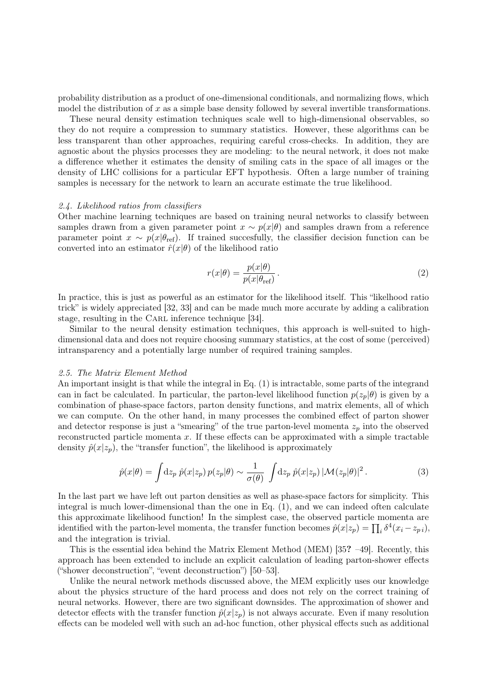probability distribution as a product of one-dimensional conditionals, and normalizing flows, which model the distribution of  $x$  as a simple base density followed by several invertible transformations.

These neural density estimation techniques scale well to high-dimensional observables, so they do not require a compression to summary statistics. However, these algorithms can be less transparent than other approaches, requiring careful cross-checks. In addition, they are agnostic about the physics processes they are modeling: to the neural network, it does not make a difference whether it estimates the density of smiling cats in the space of all images or the density of LHC collisions for a particular EFT hypothesis. Often a large number of training samples is necessary for the network to learn an accurate estimate the true likelihood.

#### 2.4. Likelihood ratios from classifiers

Other machine learning techniques are based on training neural networks to classify between samples drawn from a given parameter point  $x \sim p(x|\theta)$  and samples drawn from a reference parameter point  $x \sim p(x|\theta_{\text{ref}})$ . If trained succesfully, the classifier decision function can be converted into an estimator  $\hat{r}(x|\theta)$  of the likelihood ratio

$$
r(x|\theta) = \frac{p(x|\theta)}{p(x|\theta_{\text{ref}})}.
$$
\n(2)

In practice, this is just as powerful as an estimator for the likelihood itself. This "likelhood ratio trick" is widely appreciated [\[32,](#page-8-6) [33\]](#page-8-7) and can be made much more accurate by adding a calibration stage, resulting in the CARL inference technique [\[34\]](#page-8-8).

Similar to the neural density estimation techniques, this approach is well-suited to highdimensional data and does not require choosing summary statistics, at the cost of some (perceived) intransparency and a potentially large number of required training samples.

#### 2.5. The Matrix Element Method

An important insight is that while the integral in Eq. [\(1\)](#page-0-0) is intractable, some parts of the integrand can in fact be calculated. In particular, the parton-level likelihood function  $p(z_p|\theta)$  is given by a combination of phase-space factors, parton density functions, and matrix elements, all of which we can compute. On the other hand, in many processes the combined effect of parton shower and detector response is just a "smearing" of the true parton-level momenta  $z_p$  into the observed reconstructed particle momenta  $x$ . If these effects can be approximated with a simple tractable density  $\hat{p}(x|z_p)$ , the "transfer function", the likelihood is approximately

<span id="page-2-0"></span>
$$
\hat{p}(x|\theta) = \int dz_p \ \hat{p}(x|z_p) \ p(z_p|\theta) \sim \frac{1}{\sigma(\theta)} \ \int dz_p \ \hat{p}(x|z_p) \ |\mathcal{M}(z_p|\theta)|^2 \,. \tag{3}
$$

In the last part we have left out parton densities as well as phase-space factors for simplicity. This integral is much lower-dimensional than the one in Eq. [\(1\)](#page-0-0), and we can indeed often calculate this approximate likelihood function! In the simplest case, the observed particle momenta are identified with the parton-level momenta, the transfer function becomes  $\hat{p}(x|z_p) = \prod_i \delta^4(x_i - z_{pi}),$ and the integration is trivial.

This is the essential idea behind the Matrix Element Method (MEM) [\[35](#page-8-9)? [–49\]](#page-9-0). Recently, this approach has been extended to include an explicit calculation of leading parton-shower effects ("shower deconstruction", "event deconstruction") [\[50–](#page-9-1)[53\]](#page-9-2).

Unlike the neural network methods discussed above, the MEM explicitly uses our knowledge about the physics structure of the hard process and does not rely on the correct training of neural networks. However, there are two significant downsides. The approximation of shower and detector effects with the transfer function  $\hat{p}(x|z_p)$  is not always accurate. Even if many resolution effects can be modeled well with such an ad-hoc function, other physical effects such as additional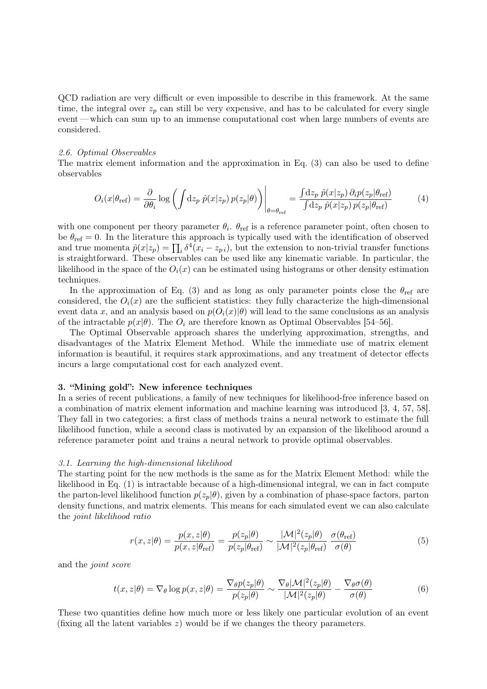QCD radiation are very difficult or even impossible to describe in this framework. At the same time, the integral over  $z_p$  can still be very expensive, and has to be calculated for every single event — which can sum up to an immense computational cost when large numbers of events are considered.

#### 2.6. Optimal Observables

The matrix element information and the approximation in Eq. [\(3\)](#page-2-0) can also be used to define observables

<span id="page-3-1"></span>
$$
O_i(x|\theta_{\text{ref}}) = \frac{\partial}{\partial \theta_i} \log \left( \int dz_p \ \hat{p}(x|z_p) \, p(z_p|\theta) \right) \Big|_{\theta = \theta_{\text{ref}}} = \frac{\int dz_p \ \hat{p}(x|z_p) \, \partial_i p(z_p|\theta_{\text{ref}})}{\int dz_p \ \hat{p}(x|z_p) \, p(z_p|\theta_{\text{ref}})} \tag{4}
$$

with one component per theory parameter  $\theta_i$ .  $\theta_{ref}$  is a reference parameter point, often chosen to be  $\theta_{\text{ref}} = 0$ . In the literature this approach is typically used with the identification of observed and true momenta  $\hat{p}(x|z_p) = \prod_i \delta^4(x_i - z_{pi}),$  but the extension to non-trivial transfer functions is straightforward. These observables can be used like any kinematic variable. In particular, the likelihood in the space of the  $O_i(x)$  can be estimated using histograms or other density estimation techniques.

In the approximation of Eq. [\(3\)](#page-2-0) and as long as only parameter points close the  $\theta_{ref}$  are considered, the  $O_i(x)$  are the sufficient statistics: they fully characterize the high-dimensional event data x, and an analysis based on  $p(O_i(x)|\theta)$  will lead to the same conclusions as an analysis of the intractable  $p(x|\theta)$ . The  $O_i$  are therefore known as Optimal Observables [\[54–](#page-9-3)[56\]](#page-9-4).

The Optimal Observable approach shares the underlying approximation, strengths, and disadvantages of the Matrix Element Method. While the immediate use of matrix element information is beautiful, it requires stark approximations, and any treatment of detector effects incurs a large computational cost for each analyzed event.

#### 3. "Mining gold": New inference techniques

In a series of recent publications, a family of new techniques for likelihood-free inference based on a combination of matrix element information and machine learning was introduced [\[3,](#page-7-2) [4,](#page-7-3) [57,](#page-9-5) [58\]](#page-9-6). They fall in two categories: a first class of methods trains a neural network to estimate the full likelihood function, while a second class is motivated by an expansion of the likelihood around a reference parameter point and trains a neural network to provide optimal observables.

#### 3.1. Learning the high-dimensional likelihood

The starting point for the new methods is the same as for the Matrix Element Method: while the likelihood in Eq. [\(1\)](#page-0-0) is intractable because of a high-dimensional integral, we can in fact compute the parton-level likelihood function  $p(z_p|\theta)$ , given by a combination of phase-space factors, parton density functions, and matrix elements. This means for each simulated event we can also calculate the joint likelihood ratio

$$
r(x,z|\theta) = \frac{p(x,z|\theta)}{p(x,z|\theta_{\text{ref}})} = \frac{p(z_p|\theta)}{p(z_p|\theta_{\text{ref}})} \sim \frac{|\mathcal{M}|^2(z_p|\theta)}{|\mathcal{M}|^2(z_p|\theta_{\text{ref}})} \frac{\sigma(\theta_{\text{ref}})}{\sigma(\theta)} \tag{5}
$$

and the joint score

<span id="page-3-0"></span>
$$
t(x,z|\theta) = \nabla_{\theta} \log p(x,z|\theta) = \frac{\nabla_{\theta} p(z_p|\theta)}{p(z_p|\theta)} \sim \frac{\nabla_{\theta} |\mathcal{M}|^2(z_p|\theta)}{|\mathcal{M}|^2(z_p|\theta)} - \frac{\nabla_{\theta} \sigma(\theta)}{\sigma(\theta)}
$$
(6)

These two quantities define how much more or less likely one particular evolution of an event (fixing all the latent variables  $z$ ) would be if we changes the theory parameters.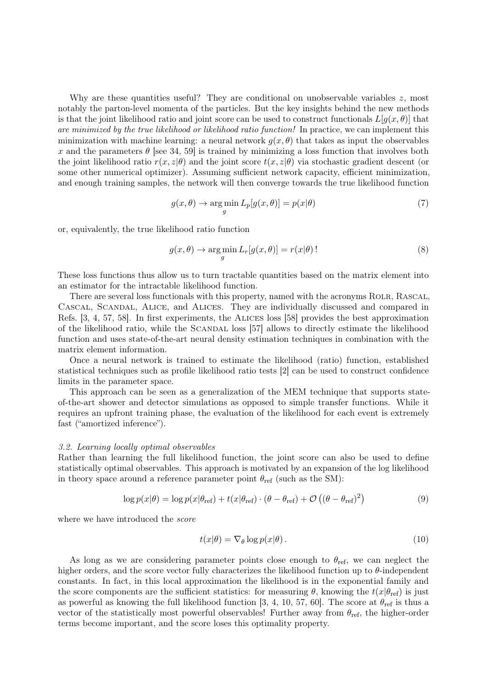Why are these quantities useful? They are conditional on unobservable variables  $z$ , most notably the parton-level momenta of the particles. But the key insights behind the new methods is that the joint likelihood ratio and joint score can be used to construct functionals  $L[q(x, \theta)]$  that are minimized by the true likelihood or likelihood ratio function! In practice, we can implement this minimization with machine learning: a neural network  $g(x, \theta)$  that takes as input the observables x and the parameters  $\theta$  [see [34,](#page-8-8) [59\]](#page-9-7) is trained by minimizing a loss function that involves both the joint likelihood ratio  $r(x, z|\theta)$  and the joint score  $t(x, z|\theta)$  via stochastic gradient descent (or some other numerical optimizer). Assuming sufficient network capacity, efficient minimization, and enough training samples, the network will then converge towards the true likelihood function

$$
g(x,\theta) \to \underset{g}{\text{arg min}} L_p[g(x,\theta)] = p(x|\theta) \tag{7}
$$

or, equivalently, the true likelihood ratio function

$$
g(x,\theta) \to \underset{g}{\text{arg min}} L_r[g(x,\theta)] = r(x|\theta)!
$$
 (8)

These loss functions thus allow us to turn tractable quantities based on the matrix element into an estimator for the intractable likelihood function.

There are several loss functionals with this property, named with the acronyms ROLR, RASCAL, Cascal, Scandal, Alice, and Alices. They are individually discussed and compared in Refs. [\[3,](#page-7-2) [4,](#page-7-3) [57,](#page-9-5) [58\]](#page-9-6). In first experiments, the Alices loss [\[58\]](#page-9-6) provides the best approximation of the likelihood ratio, while the Scandal loss [\[57\]](#page-9-5) allows to directly estimate the likelihood function and uses state-of-the-art neural density estimation techniques in combination with the matrix element information.

Once a neural network is trained to estimate the likelihood (ratio) function, established statistical techniques such as profile likelihood ratio tests [\[2\]](#page-7-1) can be used to construct confidence limits in the parameter space.

This approach can be seen as a generalization of the MEM technique that supports stateof-the-art shower and detector simulations as opposed to simple transfer functions. While it requires an upfront training phase, the evaluation of the likelihood for each event is extremely fast ("amortized inference").

#### 3.2. Learning locally optimal observables

Rather than learning the full likelihood function, the joint score can also be used to define statistically optimal observables. This approach is motivated by an expansion of the log likelihood in theory space around a reference parameter point  $\theta_{\text{ref}}$  (such as the SM):

$$
\log p(x|\theta) = \log p(x|\theta_{\text{ref}}) + t(x|\theta_{\text{ref}}) \cdot (\theta - \theta_{\text{ref}}) + \mathcal{O}\left((\theta - \theta_{\text{ref}})^2\right)
$$
(9)

where we have introduced the *score* 

$$
t(x|\theta) = \nabla_{\theta} \log p(x|\theta). \tag{10}
$$

As long as we are considering parameter points close enough to  $\theta_{\text{ref}}$ , we can neglect the higher orders, and the score vector fully characterizes the likelihood function up to θ-independent constants. In fact, in this local approximation the likelihood is in the exponential family and the score components are the sufficient statistics: for measuring  $\theta$ , knowing the  $t(x|\theta_{\text{ref}})$  is just as powerful as knowing the full likelihood function [\[3,](#page-7-2) [4,](#page-7-3) [10,](#page-8-10) [57,](#page-9-5) [60\]](#page-9-8). The score at  $\theta_{\text{ref}}$  is thus a vector of the statistically most powerful observables! Further away from  $\theta_{\text{ref}}$ , the higher-order terms become important, and the score loses this optimality property.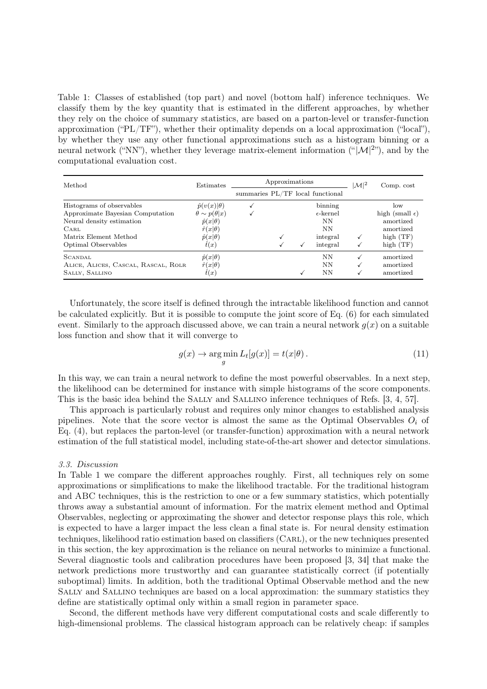<span id="page-5-0"></span>Table 1: Classes of established (top part) and novel (bottom half) inference techniques. We classify them by the key quantity that is estimated in the different approaches, by whether they rely on the choice of summary statistics, are based on a parton-level or transfer-function approximation ("PL/TF"), whether their optimality depends on a local approximation ("local"), by whether they use any other functional approximations such as a histogram binning or a neural network ("NN"), whether they leverage matrix-element information (" $|\mathcal{M}|^{2}$ "), and by the computational evaluation cost.

| Method                              | Estimates                 | Approximations                   |  |   |                    | $\mathcal{M} ^2$ | Comp. cost               |
|-------------------------------------|---------------------------|----------------------------------|--|---|--------------------|------------------|--------------------------|
|                                     |                           | summaries PL/TF local functional |  |   |                    |                  |                          |
| Histograms of observables           | $\hat{p}(v(x) \theta)$    |                                  |  |   | binning            |                  | low                      |
| Approximate Bayesian Computation    | $\theta \sim p(\theta x)$ |                                  |  |   | $\epsilon$ -kernel |                  | high (small $\epsilon$ ) |
| Neural density estimation           | $\hat{p}(x \theta)$       |                                  |  |   | NN                 |                  | amortized                |
| $_{\rm{CARL}}$                      | $\hat{r}(x \theta)$       |                                  |  |   | NN                 |                  | amortized                |
| Matrix Element Method               | $\hat{p}(x \theta)$       |                                  |  |   | integral           |                  | high $(TF)$              |
| Optimal Observables                 | $\hat{t}(x)$              |                                  |  | √ | integral           |                  | high $(TF)$              |
| SCANDAL                             | $\hat{p}(x \theta)$       |                                  |  |   | <b>NN</b>          |                  | amortized                |
| ALICE, ALICES, CASCAL, RASCAL, ROLR | $\hat{r}(x \theta)$       |                                  |  |   | NN                 |                  | amortized                |
| SALLY, SALLINO                      | $\hat{t}(x)$              |                                  |  |   | NN                 |                  | amortized                |

Unfortunately, the score itself is defined through the intractable likelihood function and cannot be calculated explicitly. But it is possible to compute the joint score of Eq. [\(6\)](#page-3-0) for each simulated event. Similarly to the approach discussed above, we can train a neural network  $g(x)$  on a suitable loss function and show that it will converge to

$$
g(x) \to \underset{g}{\text{arg min}} L_t[g(x)] = t(x|\theta). \tag{11}
$$

In this way, we can train a neural network to define the most powerful observables. In a next step, the likelihood can be determined for instance with simple histograms of the score components. This is the basic idea behind the Sally and Sallino inference techniques of Refs. [\[3,](#page-7-2) [4,](#page-7-3) [57\]](#page-9-5).

This approach is particularly robust and requires only minor changes to established analysis pipelines. Note that the score vector is almost the same as the Optimal Observables  $O_i$  of Eq. [\(4\)](#page-3-1), but replaces the parton-level (or transfer-function) approximation with a neural network estimation of the full statistical model, including state-of-the-art shower and detector simulations.

# 3.3. Discussion

In Table [1](#page-5-0) we compare the different approaches roughly. First, all techniques rely on some approximations or simplifications to make the likelihood tractable. For the traditional histogram and ABC techniques, this is the restriction to one or a few summary statistics, which potentially throws away a substantial amount of information. For the matrix element method and Optimal Observables, neglecting or approximating the shower and detector response plays this role, which is expected to have a larger impact the less clean a final state is. For neural density estimation techniques, likelihood ratio estimation based on classifiers (Carl), or the new techniques presented in this section, the key approximation is the reliance on neural networks to minimize a functional. Several diagnostic tools and calibration procedures have been proposed [\[3,](#page-7-2) [34\]](#page-8-8) that make the network predictions more trustworthy and can guarantee statistically correct (if potentially suboptimal) limits. In addition, both the traditional Optimal Observable method and the new Sally and Sallino techniques are based on a local approximation: the summary statistics they define are statistically optimal only within a small region in parameter space.

Second, the different methods have very different computational costs and scale differently to high-dimensional problems. The classical histogram approach can be relatively cheap: if samples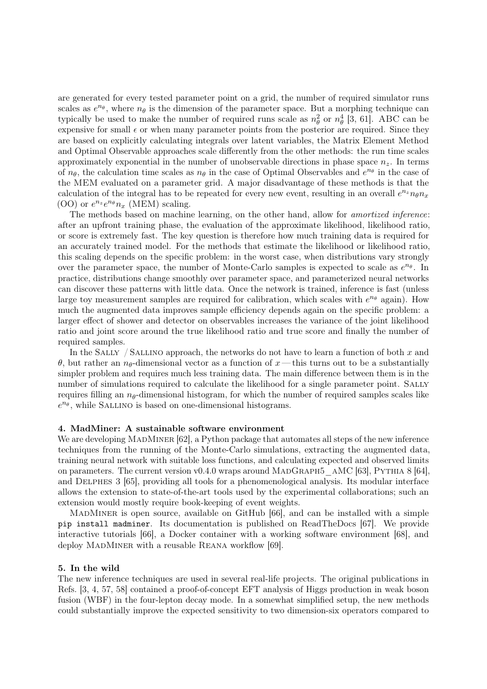are generated for every tested parameter point on a grid, the number of required simulator runs scales as  $e^{n_\theta}$ , where  $n_\theta$  is the dimension of the parameter space. But a morphing technique can typically be used to make the number of required runs scale as  $n_{\theta}^2$  or  $n_{\theta}^4$  [\[3,](#page-7-2) [61\]](#page-9-9). ABC can be expensive for small  $\epsilon$  or when many parameter points from the posterior are required. Since they are based on explicitly calculating integrals over latent variables, the Matrix Element Method and Optimal Observable approaches scale differently from the other methods: the run time scales approximately exponential in the number of unobservable directions in phase space  $n_z$ . In terms of  $n_{\theta}$ , the calculation time scales as  $n_{\theta}$  in the case of Optimal Observables and  $e^{n_{\theta}}$  in the case of the MEM evaluated on a parameter grid. A major disadvantage of these methods is that the calculation of the integral has to be repeated for every new event, resulting in an overall  $e^{n_z}n_{\theta}n_x$ (OO) or  $e^{n_z}e^{n_\theta}n_x$  (MEM) scaling.

The methods based on machine learning, on the other hand, allow for *amortized inference*: after an upfront training phase, the evaluation of the approximate likelihood, likelihood ratio, or score is extremely fast. The key question is therefore how much training data is required for an accurately trained model. For the methods that estimate the likelihood or likelihood ratio, this scaling depends on the specific problem: in the worst case, when distributions vary strongly over the parameter space, the number of Monte-Carlo samples is expected to scale as  $e^{n_\theta}$ . In practice, distributions change smoothly over parameter space, and parameterized neural networks can discover these patterns with little data. Once the network is trained, inference is fast (unless large toy measurement samples are required for calibration, which scales with  $e^{n_\theta}$  again). How much the augmented data improves sample efficiency depends again on the specific problem: a larger effect of shower and detector on observables increases the variance of the joint likelihood ratio and joint score around the true likelihood ratio and true score and finally the number of required samples.

In the SALLY / SALLINO approach, the networks do not have to learn a function of both  $x$  and θ, but rather an n<sub>θ</sub>-dimensional vector as a function of x— this turns out to be a substantially simpler problem and requires much less training data. The main difference between them is in the number of simulations required to calculate the likelihood for a single parameter point. SALLY requires filling an  $n_{\theta}$ -dimensional histogram, for which the number of required samples scales like  $e^{n\theta}$ , while SALLINO is based on one-dimensional histograms.

# 4. MadMiner: A sustainable software environment

We are developing MADMINER [\[62\]](#page-9-10), a Python package that automates all steps of the new inference techniques from the running of the Monte-Carlo simulations, extracting the augmented data, training neural network with suitable loss functions, and calculating expected and observed limits on parameters. The current version v0.4.0 wraps around MADGRAPH5\_AMC [\[63\]](#page-9-11), PYTHIA 8 [\[64\]](#page-10-0), and Delphes 3 [\[65\]](#page-10-1), providing all tools for a phenomenological analysis. Its modular interface allows the extension to state-of-the-art tools used by the experimental collaborations; such an extension would mostly require book-keeping of event weights.

MADMINER is open source, available on GitHub [\[66\]](#page-10-2), and can be installed with a simple pip install madminer. Its documentation is published on ReadTheDocs [\[67\]](#page-10-3). We provide interactive tutorials [\[66\]](#page-10-2), a Docker container with a working software environment [\[68\]](#page-10-4), and deploy MADMINER with a reusable REANA workflow [\[69\]](#page-10-5).

# 5. In the wild

The new inference techniques are used in several real-life projects. The original publications in Refs. [\[3,](#page-7-2) [4,](#page-7-3) [57,](#page-9-5) [58\]](#page-9-6) contained a proof-of-concept EFT analysis of Higgs production in weak boson fusion (WBF) in the four-lepton decay mode. In a somewhat simplified setup, the new methods could substantially improve the expected sensitivity to two dimension-six operators compared to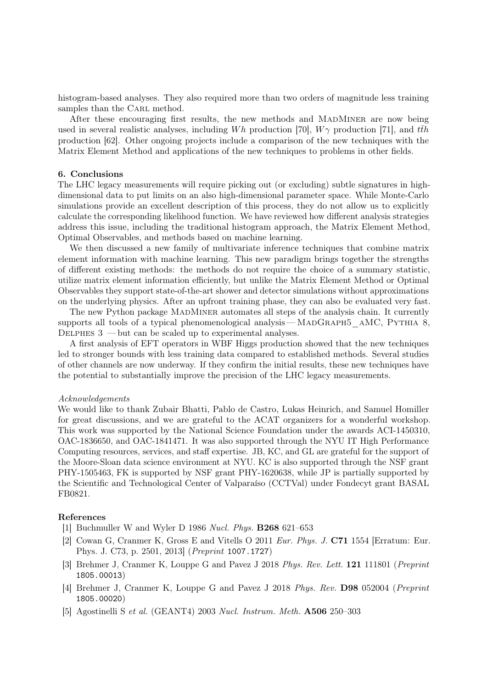histogram-based analyses. They also required more than two orders of magnitude less training samples than the CARL method.

After these encouraging first results, the new methods and MADMINER are now being used in several realistic analyses, including Wh production [\[70\]](#page-10-6),  $W\gamma$  production [\[71\]](#page-10-7), and  $t\bar{t}h$ production [\[62\]](#page-9-10). Other ongoing projects include a comparison of the new techniques with the Matrix Element Method and applications of the new techniques to problems in other fields.

# 6. Conclusions

The LHC legacy measurements will require picking out (or excluding) subtle signatures in highdimensional data to put limits on an also high-dimensional parameter space. While Monte-Carlo simulations provide an excellent description of this process, they do not allow us to explicitly calculate the corresponding likelihood function. We have reviewed how different analysis strategies address this issue, including the traditional histogram approach, the Matrix Element Method, Optimal Observables, and methods based on machine learning.

We then discussed a new family of multivariate inference techniques that combine matrix element information with machine learning. This new paradigm brings together the strengths of different existing methods: the methods do not require the choice of a summary statistic, utilize matrix element information efficiently, but unlike the Matrix Element Method or Optimal Observables they support state-of-the-art shower and detector simulations without approximations on the underlying physics. After an upfront training phase, they can also be evaluated very fast.

The new Python package MADMINER automates all steps of the analysis chain. It currently supports all tools of a typical phenomenological analysis—MADGRAPH5\_AMC, PYTHIA 8, DELPHES  $3$  — but can be scaled up to experimental analyses.

A first analysis of EFT operators in WBF Higgs production showed that the new techniques led to stronger bounds with less training data compared to established methods. Several studies of other channels are now underway. If they confirm the initial results, these new techniques have the potential to substantially improve the precision of the LHC legacy measurements.

#### Acknowledgements

We would like to thank Zubair Bhatti, Pablo de Castro, Lukas Heinrich, and Samuel Homiller for great discussions, and we are grateful to the ACAT organizers for a wonderful workshop. This work was supported by the National Science Foundation under the awards ACI-1450310, OAC-1836650, and OAC-1841471. It was also supported through the NYU IT High Performance Computing resources, services, and staff expertise. JB, KC, and GL are grateful for the support of the Moore-Sloan data science environment at NYU. KC is also supported through the NSF grant PHY-1505463, FK is supported by NSF grant PHY-1620638, while JP is partially supported by the Scientific and Technological Center of Valparaíso (CCTVal) under Fondecyt grant BASAL FB0821.

# References

- <span id="page-7-0"></span>[1] Buchmuller W and Wyler D 1986 Nucl. Phys. B268 621–653
- <span id="page-7-1"></span>[2] Cowan G, Cranmer K, Gross E and Vitells O 2011 Eur. Phys. J. C71 1554 [Erratum: Eur. Phys. J. C73, p. 2501, 2013] (Preprint <1007.1727>)
- <span id="page-7-2"></span>[3] Brehmer J, Cranmer K, Louppe G and Pavez J 2018 Phys. Rev. Lett. 121 111801 (Preprint <1805.00013>)
- <span id="page-7-3"></span>[4] Brehmer J, Cranmer K, Louppe G and Pavez J 2018 Phys. Rev. D98 052004 (Preprint <1805.00020>)
- <span id="page-7-4"></span>[5] Agostinelli S et al. (GEANT4) 2003 Nucl. Instrum. Meth. A506 250–303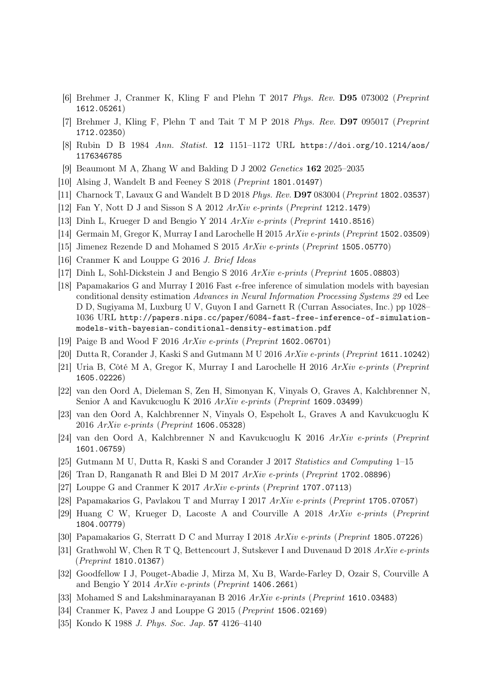- <span id="page-8-0"></span>[6] Brehmer J, Cranmer K, Kling F and Plehn T 2017 Phys. Rev. D95 073002 (Preprint <1612.05261>)
- <span id="page-8-1"></span>[7] Brehmer J, Kling F, Plehn T and Tait T M P 2018 Phys. Rev. D97 095017 (Preprint <1712.02350>)
- <span id="page-8-2"></span>[8] Rubin D B 1984 Ann. Statist. 12 1151–1172 URL [https://doi.org/10.1214/aos/](https://doi.org/10.1214/aos/1176346785) [1176346785](https://doi.org/10.1214/aos/1176346785)
- [9] Beaumont M A, Zhang W and Balding D J 2002 Genetics 162 2025–2035
- <span id="page-8-10"></span>[10] Alsing J, Wandelt B and Feeney S 2018 (Preprint <1801.01497>)
- <span id="page-8-3"></span>[11] Charnock T, Lavaux G and Wandelt B D 2018 Phys. Rev. D97 083004 (Preprint <1802.03537>)
- <span id="page-8-4"></span>[12] Fan Y, Nott D J and Sisson S A 2012 ArXiv e-prints (Preprint <1212.1479>)
- [13] Dinh L, Krueger D and Bengio Y 2014 ArXiv e-prints (Preprint <1410.8516>)
- [14] Germain M, Gregor K, Murray I and Larochelle H 2015 ArXiv e-prints (Preprint <1502.03509>)
- [15] Jimenez Rezende D and Mohamed S 2015 ArXiv e-prints (Preprint <1505.05770>)
- [16] Cranmer K and Louppe G 2016 J. Brief Ideas
- [17] Dinh L, Sohl-Dickstein J and Bengio S 2016 ArXiv e-prints (Preprint <1605.08803>)
- [18] Papamakarios G and Murray I 2016 Fast  $\epsilon$ -free inference of simulation models with bayesian conditional density estimation Advances in Neural Information Processing Systems 29 ed Lee D D, Sugiyama M, Luxburg U V, Guyon I and Garnett R (Curran Associates, Inc.) pp 1028– 1036 URL [http://papers.nips.cc/paper/6084-fast-free-inference-of-simulation](http://papers.nips.cc/paper/6084-fast-free-inference-of-simulation-models-with-bayesian-conditional-density-estimation.pdf)[models-with-bayesian-conditional-density-estimation.pdf](http://papers.nips.cc/paper/6084-fast-free-inference-of-simulation-models-with-bayesian-conditional-density-estimation.pdf)
- [19] Paige B and Wood F 2016 ArXiv e-prints (Preprint <1602.06701>)
- [20] Dutta R, Corander J, Kaski S and Gutmann M U 2016 ArXiv e-prints (Preprint <1611.10242>)
- [21] Uria B, Côté M A, Gregor K, Murray I and Larochelle H 2016 ArXiv e-prints (Preprint <1605.02226>)
- [22] van den Oord A, Dieleman S, Zen H, Simonyan K, Vinyals O, Graves A, Kalchbrenner N, Senior A and Kavukcuoglu K 2016 ArXiv e-prints (Preprint <1609.03499>)
- [23] van den Oord A, Kalchbrenner N, Vinyals O, Espeholt L, Graves A and Kavukcuoglu K 2016 ArXiv e-prints (Preprint <1606.05328>)
- [24] van den Oord A, Kalchbrenner N and Kavukcuoglu K 2016 ArXiv e-prints (Preprint <1601.06759>)
- [25] Gutmann M U, Dutta R, Kaski S and Corander J 2017 Statistics and Computing 1–15
- [26] Tran D, Ranganath R and Blei D M 2017  $ArXiv$  e-prints (Preprint <1702.08896>)
- [27] Louppe G and Cranmer K 2017 ArXiv e-prints (Preprint <1707.07113>)
- [28] Papamakarios G, Pavlakou T and Murray I 2017 ArXiv e-prints (Preprint <1705.07057>)
- [29] Huang C W, Krueger D, Lacoste A and Courville A 2018 ArXiv e-prints (Preprint <1804.00779>)
- [30] Papamakarios G, Sterratt D C and Murray I 2018 ArXiv e-prints (Preprint <1805.07226>)
- <span id="page-8-5"></span>[31] Grathwohl W, Chen R T Q, Bettencourt J, Sutskever I and Duvenaud D 2018 ArXiv e-prints (Preprint <1810.01367>)
- <span id="page-8-6"></span>[32] Goodfellow I J, Pouget-Abadie J, Mirza M, Xu B, Warde-Farley D, Ozair S, Courville A and Bengio Y 2014 ArXiv e-prints (Preprint <1406.2661>)
- <span id="page-8-7"></span>[33] Mohamed S and Lakshminarayanan B 2016 ArXiv e-prints (Preprint <1610.03483>)
- <span id="page-8-8"></span>[34] Cranmer K, Pavez J and Louppe G 2015 (Preprint <1506.02169>)
- <span id="page-8-9"></span>[35] Kondo K 1988 J. Phys. Soc. Jap. 57 4126–4140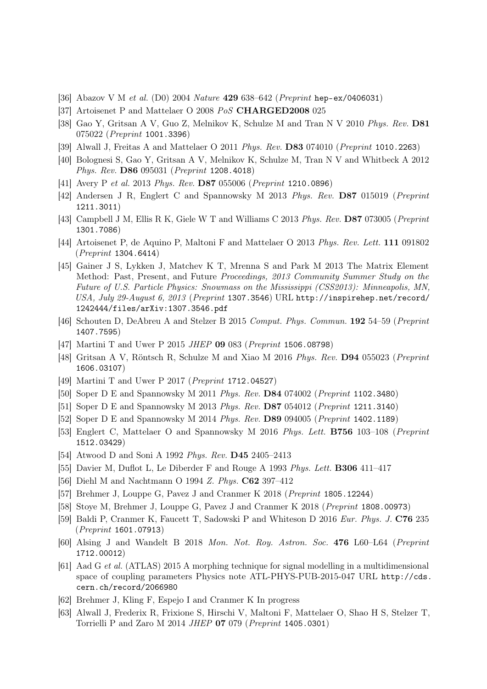- [36] Abazov V M et al. (D0) 2004 Nature 429 638–642 (Preprint <hep-ex/0406031>)
- [37] Artoisenet P and Mattelaer O 2008 PoS CHARGED2008 025
- [38] Gao Y, Gritsan A V, Guo Z, Melnikov K, Schulze M and Tran N V 2010 Phys. Rev. D81 075022 (Preprint <1001.3396>)
- [39] Alwall J, Freitas A and Mattelaer O 2011 Phys. Rev. D83 074010 (Preprint <1010.2263>)
- [40] Bolognesi S, Gao Y, Gritsan A V, Melnikov K, Schulze M, Tran N V and Whitbeck A 2012 Phys. Rev. D86 095031 (Preprint <1208.4018>)
- [41] Avery P et al. 2013 Phys. Rev. D87 055006 (Preprint <1210.0896>)
- [42] Andersen J R, Englert C and Spannowsky M 2013 Phys. Rev. D87 015019 (Preprint <1211.3011>)
- [43] Campbell J M, Ellis R K, Giele W T and Williams C 2013 Phys. Rev. D87 073005 (Preprint <1301.7086>)
- [44] Artoisenet P, de Aquino P, Maltoni F and Mattelaer O 2013 Phys. Rev. Lett. 111 091802 (Preprint <1304.6414>)
- [45] Gainer J S, Lykken J, Matchev K T, Mrenna S and Park M 2013 The Matrix Element Method: Past, Present, and Future Proceedings, 2013 Community Summer Study on the Future of U.S. Particle Physics: Snowmass on the Mississippi (CSS2013): Minneapolis, MN, USA, July 29-August 6, 2013 (Preprint <1307.3546>) URL [http://inspirehep.net/record/](http://inspirehep.net/record/1242444/files/arXiv:1307.3546.pdf) [1242444/files/arXiv:1307.3546.pdf](http://inspirehep.net/record/1242444/files/arXiv:1307.3546.pdf)
- [46] Schouten D, DeAbreu A and Stelzer B 2015 Comput. Phys. Commun. 192 54–59 (Preprint <1407.7595>)
- [47] Martini T and Uwer P 2015 JHEP 09 083 (Preprint <1506.08798>)
- [48] Gritsan A V, Röntsch R, Schulze M and Xiao M 2016 Phys. Rev. D94 055023 (Preprint <1606.03107>)
- <span id="page-9-0"></span>[49] Martini T and Uwer P 2017 (Preprint <1712.04527>)
- <span id="page-9-1"></span>[50] Soper D E and Spannowsky M 2011 Phys. Rev. D84 074002 (Preprint <1102.3480>)
- [51] Soper D E and Spannowsky M 2013 Phys. Rev. D87 054012 (Preprint <1211.3140>)
- [52] Soper D E and Spannowsky M 2014 Phys. Rev. D89 094005 (Preprint <1402.1189>)
- <span id="page-9-2"></span>[53] Englert C, Mattelaer O and Spannowsky M 2016 Phys. Lett. B756 103–108 (Preprint <1512.03429>)
- <span id="page-9-3"></span>[54] Atwood D and Soni A 1992 Phys. Rev. D45 2405–2413
- [55] Davier M, Duflot L, Le Diberder F and Rouge A 1993 Phys. Lett. B306 411–417
- <span id="page-9-4"></span>[56] Diehl M and Nachtmann O 1994 Z. Phys. C62 397–412
- <span id="page-9-5"></span>[57] Brehmer J, Louppe G, Pavez J and Cranmer K 2018 (Preprint <1805.12244>)
- <span id="page-9-6"></span>[58] Stoye M, Brehmer J, Louppe G, Pavez J and Cranmer K 2018 (Preprint <1808.00973>)
- <span id="page-9-7"></span>[59] Baldi P, Cranmer K, Faucett T, Sadowski P and Whiteson D 2016 Eur. Phys. J. C76 235 (Preprint <1601.07913>)
- <span id="page-9-8"></span>[60] Alsing J and Wandelt B 2018 Mon. Not. Roy. Astron. Soc. 476 L60–L64 (Preprint <1712.00012>)
- <span id="page-9-9"></span>[61] Aad G et al. (ATLAS) 2015 A morphing technique for signal modelling in a multidimensional space of coupling parameters Physics note ATL-PHYS-PUB-2015-047 URL [http://cds.](http://cds.cern.ch/record/2066980) [cern.ch/record/2066980](http://cds.cern.ch/record/2066980)
- <span id="page-9-10"></span>[62] Brehmer J, Kling F, Espejo I and Cranmer K In progress
- <span id="page-9-11"></span>[63] Alwall J, Frederix R, Frixione S, Hirschi V, Maltoni F, Mattelaer O, Shao H S, Stelzer T, Torrielli P and Zaro M 2014 JHEP 07 079 (Preprint <1405.0301>)